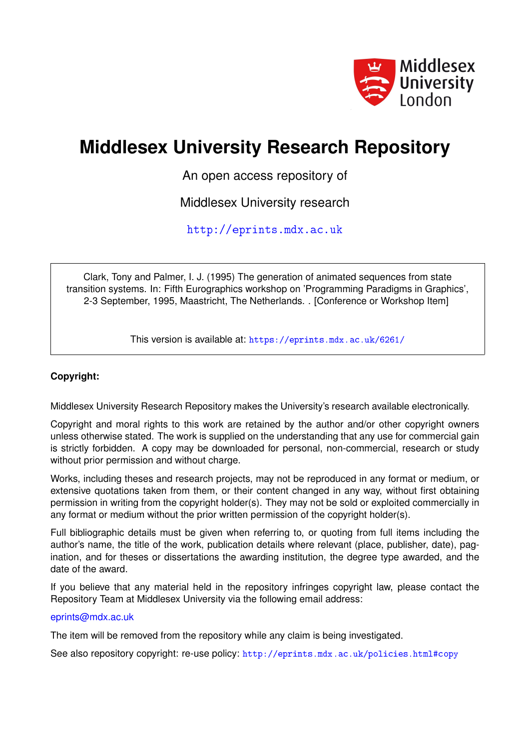

# **Middlesex University Research Repository**

An open access repository of

Middlesex University research

<http://eprints.mdx.ac.uk>

Clark, Tony and Palmer, I. J. (1995) The generation of animated sequences from state transition systems. In: Fifth Eurographics workshop on 'Programming Paradigms in Graphics', 2-3 September, 1995, Maastricht, The Netherlands. . [Conference or Workshop Item]

This version is available at: <https://eprints.mdx.ac.uk/6261/>

# **Copyright:**

Middlesex University Research Repository makes the University's research available electronically.

Copyright and moral rights to this work are retained by the author and/or other copyright owners unless otherwise stated. The work is supplied on the understanding that any use for commercial gain is strictly forbidden. A copy may be downloaded for personal, non-commercial, research or study without prior permission and without charge.

Works, including theses and research projects, may not be reproduced in any format or medium, or extensive quotations taken from them, or their content changed in any way, without first obtaining permission in writing from the copyright holder(s). They may not be sold or exploited commercially in any format or medium without the prior written permission of the copyright holder(s).

Full bibliographic details must be given when referring to, or quoting from full items including the author's name, the title of the work, publication details where relevant (place, publisher, date), pagination, and for theses or dissertations the awarding institution, the degree type awarded, and the date of the award.

If you believe that any material held in the repository infringes copyright law, please contact the Repository Team at Middlesex University via the following email address:

### [eprints@mdx.ac.uk](mailto:eprints@mdx.ac.uk)

The item will be removed from the repository while any claim is being investigated.

See also repository copyright: re-use policy: <http://eprints.mdx.ac.uk/policies.html#copy>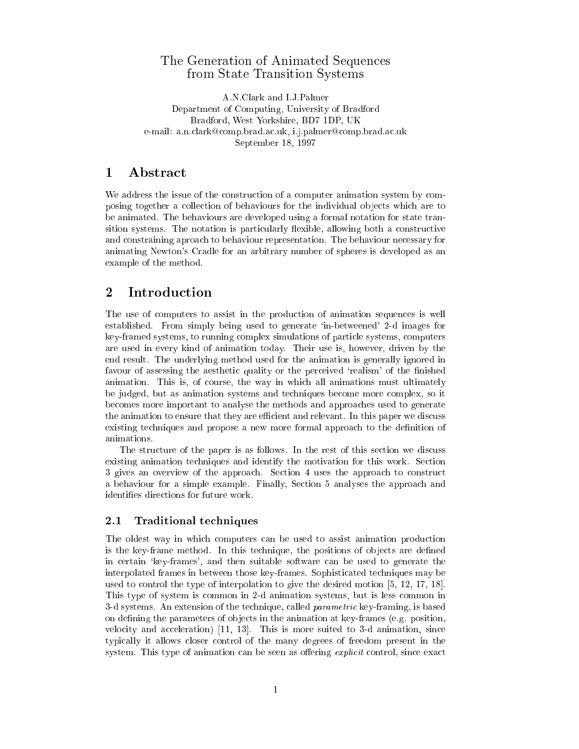### The Generation of Animated Sequences from State Transition Systems

A.N.Clark and I.J.Palmer Department of Computing, University of Bradford Bradford, West Yorkshire, BD7 1DP, UK e-mail: a.n.clark@comp.brad.ac.uk, i.j.palmer@comp.brad.ac.uk September 18, 1997

## 1 Abstract

We address the issue of the construction of a computer animation system by composing together a collection of behaviours for the individual objects which are to be animated. The behaviours are developed using a formal notation for state transition systems. The notation is particularly flexible, allowing both a constructive and constraining aproach to behaviour representation. The behaviour necessary for animating Newton's Cradle for an arbitrary number of spheres is developed as an example of the method.

# 2 Introduction

The use of computers to assist in the production of animation sequences is well established. From simply being used to generate `in-betweened' 2-d images for key-framed systems, to running complex simulations of particle systems, computers are used in every kind of animation today. Their use is, however, driven by the end result. The underlying method used for the animation is generally ignored in favour of assessing the aesthetic quality or the perceived 'realism' of the finished animation. This is, of course, the way in which all animations must ultimately be judged, but as animation systems and techniques become more complex, so it becomes more important to analyse the methods and approaches used to generate the animation to ensure that they are efficient and relevant. In this paper we discuss existing techniques and propose a new more formal approach to the denition of

The structure of the paper is as follows. In the rest of this section we discuss existing animation techniques and identify the motivation for this work. Section 3 gives an overview of the approach. Section 4 uses the approach to construct a behaviour for a simple example. Finally, Section 5 analyses the approach and identies directions for future work.

### 2.1 Traditional techniques

The oldest way in which computers can be used to assist animation production is the key-frame method. In this technique, the positions of objects are defined in certain `key-frames', and then suitable software can be used to generate the interpolated frames in between those key-frames. Sophisticated techniques may be used to control the type of interpolation to give the desired motion [5, 12, 17, 18]. This type of system is common in 2-d animation systems, but is less common in 3-d systems. An extension of the technique, called parametric key-framing, is based on defining the parameters of objects in the animation at key-frames (e.g. position, velocity and acceleration) [11, 13]. This is more suited to 3-d animation, since typically it allows closer control of the many degrees of freedom present in the system. This type of animation can be seen as offering *explicit* control, since exact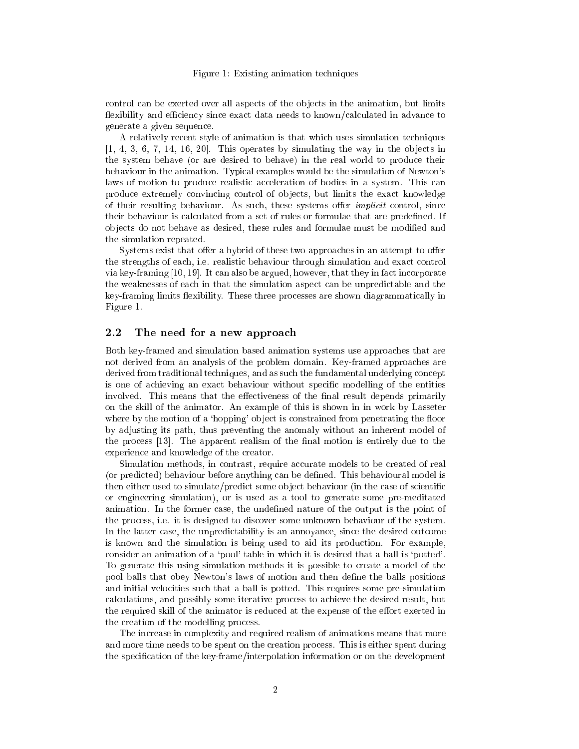### Figure 1: Existing animation techniques

control can be exerted over all aspects of the objects in the animation, but limits flexibility and efficiency since exact data needs to known/calculated in advance to generate a given sequence.

A relatively recent style of animation is that which uses simulation techniques  $[1, 4, 3, 6, 7, 14, 16, 20]$ . This operates by simulating the way in the objects in the system behave (or are desired to behave) in the real world to produce their behaviour in the animation. Typical examples would be the simulation of Newton's laws of motion to produce realistic acceleration of bodies in a system. This can produce extremely convincing control of ob jects, but limits the exact knowledge of their resulting behaviour. As such, these systems offer *implicit* control, since their behaviour is calculated from a set of rules or formulae that are predefined. If objects do not behave as desired, these rules and formulae must be modified and the simulation repeated.

Systems exist that offer a hybrid of these two approaches in an attempt to offer the strengths of each, i.e. realistic behaviour through simulation and exact control via key-framing [10, 19]. It can also be argued, however, that they in fact incorporate the weaknesses of each in that the simulation aspect can be unpredictable and the key-framing limits flexibility. These three processes are shown diagrammatically in Figure 1.

#### 2.2 The need for a new approach

Both key-framed and simulation based animation systems use approaches that are not derived from an analysis of the problem domain. Key-framed approaches are derived from traditional techniques, and as such the fundamental underlying concept is one of achieving an exact behaviour without specic modelling of the entities involved. This means that the effectiveness of the final result depends primarily on the skill of the animator. An example of this is shown in in work by Lasseter where by the motion of a 'hopping' object is constrained from penetrating the floor by adjusting its path, thus preventing the anomaly without an inherent model of the process  $[13]$ . The apparent realism of the final motion is entirely due to the experience and knowledge of the creator.

Simulation methods, in contrast, require accurate models to be created of real (or predicted) behaviour before anything can be dened. This behavioural model is then either used to simulate/predict some ob ject behaviour (in the case of scientic or engineering simulation), or is used as a tool to generate some pre-meditated animation. In the former case, the undened nature of the output is the point of the process, i.e. it is designed to discover some unknown behaviour of the system. In the latter case, the unpredictability is an annoyance, since the desired outcome is known and the simulation is being used to aid its production. For example, consider an animation of a `pool' table in which it is desired that a ball is `potted'. To generate this using simulation methods it is possible to create a model of the pool balls that obey Newton's laws of motion and then define the balls positions and initial velocities such that a ball is potted. This requires some pre-simulation calculations, and possibly some iterative process to achieve the desired result, but the required skill of the animator is reduced at the expense of the effort exerted in the creation of the modelling process.

The increase in complexity and required realism of animations means that more and more time needs to be spent on the creation process. This is either spent during the specication of the key-frame/interpolation information or on the development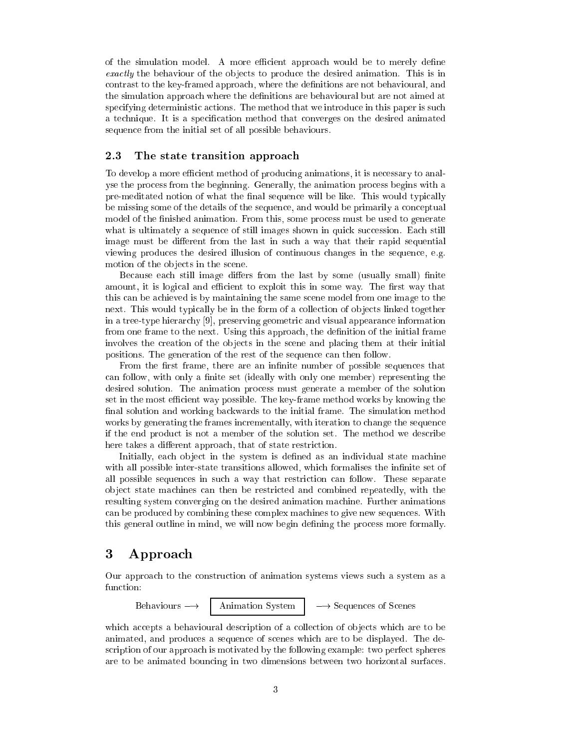of the simulation model. A more efficient approach would be to merely define exactly the behaviour of the objects to produce the desired animation. This is in contrast to the key-framed approach, where the definitions are not behavioural, and the simulation approach where the definitions are behavioural but are not aimed at specifying deterministic actions. The method that we introduce in this paper is such a technique. It is a specication method that converges on the desired animated sequence from the initial set of all possible behaviours.

### 2.3 The state transition approach

To develop a more efficient method of producing animations, it is necessary to analyse the process from the beginning. Generally, the animation process begins with a pre-meditated notion of what the final sequence will be like. This would typically be missing some of the details of the sequence, and would be primarily a conceptual model of the finished animation. From this, some process must be used to generate what is ultimately a sequence of still images shown in quick succession. Each still image must be different from the last in such a way that their rapid sequential viewing produces the desired illusion of continuous changes in the sequence, e.g. motion of the objects in the scene.

Because each still image differs from the last by some (usually small) finite amount, it is logical and efficient to exploit this in some way. The first way that this can be achieved is by maintaining the same scene model from one image to the next. This would typically be in the form of a collection of objects linked together in a tree-type hierarchy [9], preserving geometric and visual appearance information from one frame to the next. Using this approach, the definition of the initial frame involves the creation of the objects in the scene and placing them at their initial positions. The generation of the rest of the sequence can then follow.

From the first frame, there are an infinite number of possible sequences that can follow, with only a finite set (ideally with only one member) representing the desired solution. The animation process must generate a member of the solution set in the most efficient way possible. The key-frame method works by knowing the final solution and working backwards to the initial frame. The simulation method works by generating the frames incrementally, with iteration to change the sequence if the end product is not a member of the solution set. The method we describe here takes a different approach, that of state restriction.

Initially, each object in the system is defined as an individual state machine with all possible inter-state transitions allowed, which formalises the infinite set of all possible sequences in such a way that restriction can follow. These separate ob ject state machines can then be restricted and combined repeatedly, with the resulting system converging on the desired animation machine. Further animations can be produced by combining these complex machines to give new sequences. With this general outline in mind, we will now begin defining the process more formally.

### 3 Approach

Our approach to the construction of animation systems views such a system as a function:

Behaviours  $\longrightarrow$  | Animation System |  $\longrightarrow$  Sequences of Scenes

which accepts a behavioural description of a collection of objects which are to be animated, and produces a sequence of scenes which are to be displayed. The description of our approach is motivated by the following example: two perfect spheres are to be animated bouncing in two dimensions between two horizontal surfaces.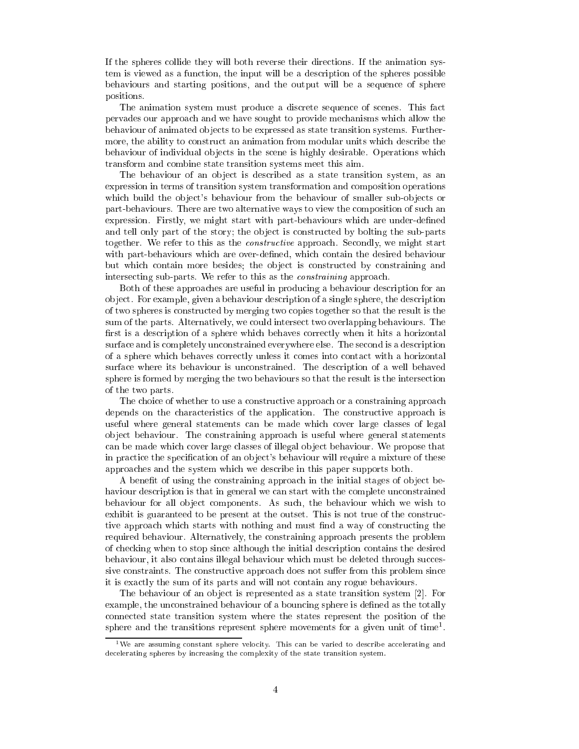If the spheres collide they will both reverse their directions. If the animation system is viewed as a function, the input will be a description of the spheres possible behaviours and starting positions, and the output will be a sequence of sphere positions.

The animation system must produce a discrete sequence of scenes. This fact pervades our approach and we have sought to provide mechanisms which allow the behaviour of animated objects to be expressed as state transition systems. Furthermore, the ability to construct an animation from modular units which describe the behaviour of individual objects in the scene is highly desirable. Operations which transform and combine state transition systems meet this aim.

The behaviour of an object is described as a state transition system, as an expression in terms of transition system transformation and composition operations which build the object's behaviour from the behaviour of smaller sub-objects or part-behaviours. There are two alternative ways to view the composition of such an expression. Firstly, we might start with part-behaviours which are under-defined and tell only part of the story; the object is constructed by bolting the sub-parts together. We refer to this as the *constructive* approach. Secondly, we might start with part-behaviours which are over-defined, which contain the desired behaviour but which contain more besides; the object is constructed by constraining and intersecting sub-parts. We refer to this as the constraining approach.

Both of these approaches are useful in producing a behaviour description for an ob ject. For example, given a behaviour description of a single sphere, the description of two spheres is constructed by merging two copies together so that the result is the sum of the parts. Alternatively, we could intersect two overlapping behaviours. The first is a description of a sphere which behaves correctly when it hits a horizontal surface and is completely unconstrained everywhere else. The second is a description of a sphere which behaves correctly unless it comes into contact with a horizontal surface where its behaviour is unconstrained. The description of a well behaved sphere is formed by merging the two behaviours so that the result is the intersection of the two parts.

The choice of whether to use a constructive approach or a constraining approach depends on the characteristics of the application. The constructive approach is useful where general statements can be made which cover large classes of legal ob ject behaviour. The constraining approach is useful where general statements can be made which cover large classes of illegal ob ject behaviour. We propose that in practice the specification of an object's behaviour will require a mixture of these approaches and the system which we describe in this paper supports both.

A benet of using the constraining approach in the initial stages of ob ject behaviour description is that in general we can start with the complete unconstrained behaviour for all object components. As such, the behaviour which we wish to exhibit is guaranteed to be present at the outset. This is not true of the constructive approach which starts with nothing and must find a way of constructing the required behaviour. Alternatively, the constraining approach presents the problem of checking when to stop since although the initial description contains the desired behaviour, it also contains illegal behaviour which must be deleted through successive constraints. The constructive approach does not suffer from this problem since it is exactly the sum of its parts and will not contain any rogue behaviours.

The behaviour of an object is represented as a state transition system [2]. For example, the unconstrained behaviour of a bouncing sphere is defined as the totally connected state transition system where the states represent the position of the sphere and the transitions represent sphere movements for a given unit of time<sup>-</sup>.

to are assuming constant sphere velocity. This can be varied to describe accelerating and decelerating spheres by increasing the complexity of the state transition system.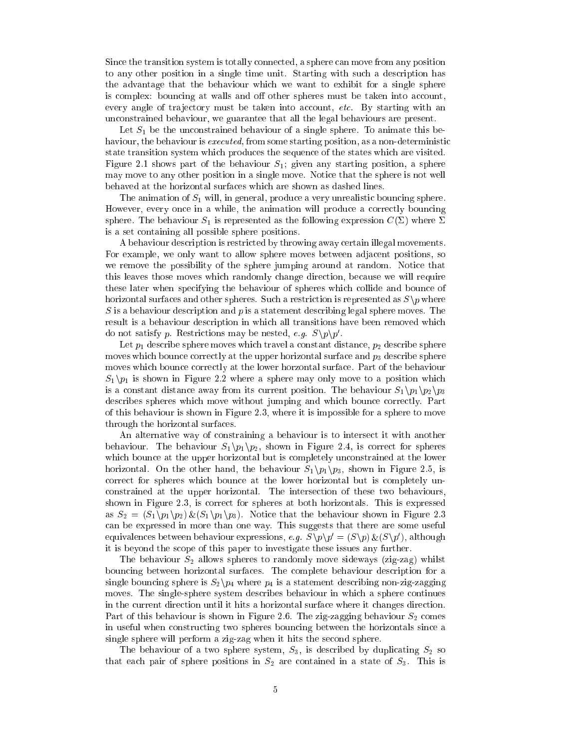Since the transition system is totally connected, a sphere can move from any position to any other position in a single time unit. Starting with such a description has the advantage that the behaviour which we want to exhibit for a single sphere is complex: bouncing at walls and off other spheres must be taken into account, every angle of trajectory must be taken into account, etc. By starting with an unconstrained behaviour, we guarantee that all the legal behaviours are present.

Let  $S_1$  be the unconstrained behaviour of a single sphere. To animate this behaviour, the behaviour is *executed*, from some starting position, as a non-deterministic state transition system which produces the sequence of the states which are visited. Figure 2.1 shows part of the behaviour  $S_1$ ; given any starting position, a sphere may move to any other position in a single move. Notice that the sphere is not well behaved at the horizontal surfaces which are shown as dashed lines.

The animation of  $S_1$  will, in general, produce a very unrealistic bouncing sphere. However, every once in a while, the animation will produce a correctly bouncing sphere. The behaviour  $S_1$  is represented as the following expression  $C(\Sigma)$  where  $\Sigma$ is a set containing all possible sphere positions.

A behaviour description is restricted by throwing away certain illegal movements. For example, we only want to allow sphere moves between adjacent positions, so we remove the possibility of the sphere jumping around at random. Notice that this leaves those moves which randomly change direction, because we will require these later when specifying the behaviour of spheres which collide and bounce of horizontal surfaces and other spheres. Such a restriction is represented as  $S\$ im where S is a behaviour description and <sup>p</sup> is a statement describing legal sphere moves. The result is a behaviour description in which all transitions have been removed which do not satisfy p. Restrictions may be nested, e.g.  $S \backslash p \backslash p$ .

Let  $p_1$  describe sphere moves which travel a constant distance,  $p_2$  describe sphere moves which bounce correctly at the upper horizontal surface and  $p_3$  describe sphere moves which bounce correctly at the lower horzontal surface. Part of the behaviour  $S_1\backslash p_1$  is shown in Figure 2.2 where a sphere may only move to a position which is a constant distance away from its current position. The behaviour  $S_1 \backslash p_1 \backslash p_2 \backslash p_3$ describes spheres which move without jumping and which bounce correctly. Part of this behaviour is shown in Figure 2.3, where it is impossible for a sphere to move through the horizontal surfaces.

An alternative way of constraining a behaviour is to intersect it with another behaviour. The behaviour  $S_1 \backslash p_1 \backslash p_2$ , shown in Figure 2.4, is correct for spheres which bounce at the upper horizontal but is completely unconstrained at the lower horizontal. On the other hand, the behaviour  $S_1\backslash p_1\backslash p_3$ , shown in Figure 2.5, is correct for spheres which bounce at the lower horizontal but is completely unconstrained at the upper horizontal. The intersection of these two behaviours, shown in Figure 2.3, is correct for spheres at both horizontals. This is expressed as  $S_2 = (S_1 \backslash p_1 \backslash p_2) \& (S_1 \backslash p_1 \backslash p_3)$ . Notice that the behaviour shown in Figure 2.3 can be expressed in more than one way. This suggests that there are some useful equivalences between behaviour expressions, e.g.  $S \setminus p \setminus p = (S \setminus p) \otimes (S \setminus p)$ , although it is beyond the scope of this paper to investigate these issues any further.

The behaviour  $S_2$  allows spheres to randomly move sideways (zig-zag) whilst bouncing between horizontal surfaces. The complete behaviour description for a single bouncing sphere is  $S_2 \backslash p_4$  where  $p_4$  is a statement describing non-zig-zagging moves. The single-sphere system describes behaviour in which a sphere continues in the current direction until it hits a horizontal surface where it changes direction. Part of this behaviour is shown in Figure 2.6. The zig-zagging behaviour  $S_2$  comes in useful when constructing two spheres bouncing between the horizontals since a single sphere will perform a zig-zag when it hits the second sphere.

The behaviour of a two sphere system,  $S_3$ , is described by duplicating  $S_2$  so that each pair of sphere positions in  $S_2$  are contained in a state of  $S_3$ . This is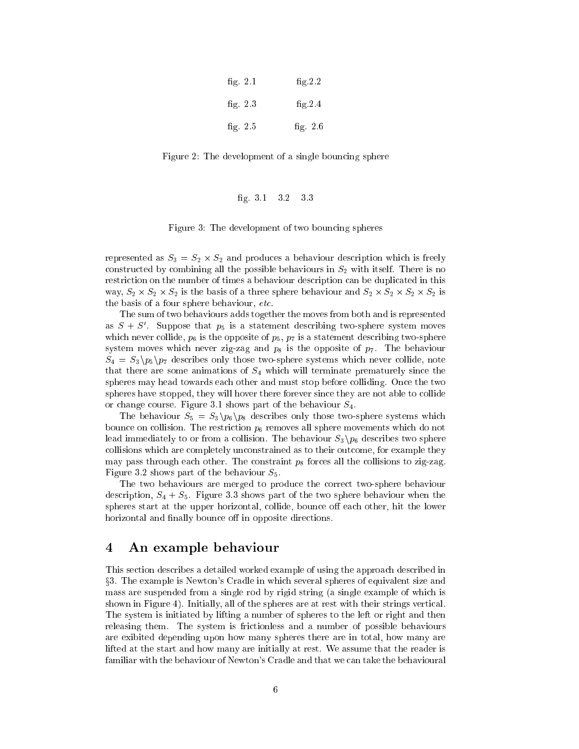| fig. $2.1$ | fig.2.2    |
|------------|------------|
| fig. $2.3$ | fig.2.4    |
| fig. $2.5$ | fig. $2.6$ |

Figure 2: The development of a single bouncing sphere

### g. 3.1 3.2 3.3

Figure 3: The development of two bouncing spheres

represented as S3 <sup>=</sup> S2 - S2 and produces <sup>a</sup> behaviour description which is freely constructed by combining all the possible behaviours in  $S_2$  with itself. There is no restriction on the number of times a behaviour description can be duplicated in this way, S2 - S2 - S2 is the basis of <sup>a</sup> three sphere behaviour and S2 - S2 - S2 - S2 is the basis of a four sphere behaviour, etc.

The sum of two behaviours adds together the moves from both and is represented as  $5 + 5$ . Suppose that  $p_5$  is a statement describing two-sphere system moves which never collide,  $p_6$  is the opposite of  $p_5$ ,  $p_7$  is a statement describing two-sphere system moves which never zig-zag and  $p_8$  is the opposite of  $p_7$ . The behaviour  $S_4 = S_3 \backslash p_5 \backslash p_7$  describes only those two-sphere systems which never collide, note that there are some animations of  $S_4$  which will terminate prematurely since the spheres may head towards each other and must stop before colliding. Once the two spheres have stopped, they will hover there forever since they are not able to collide or change course. Figure 3.1 shows part of the behaviour  $S_4$ .

The behaviour  $S_5 = S_3 \backslash p_6 \backslash p_8$  describes only those two-sphere systems which bounce on collision. The restriction  $p_6$  removes all sphere movements which do not lead immediately to or from a collision. The behaviour  $S_3$   $p_6$  describes two sphere collisions which are completely unconstrained as to their outcome, for example they may pass through each other. The constraint  $p_8$  forces all the collisions to zig-zag. Figure 3.2 shows part of the behaviour  $S_5$ .

The two behaviours are merged to produce the correct two-sphere behaviour description,  $S_4 + S_5$ . Figure 3.3 shows part of the two sphere behaviour when the spheres start at the upper horizontal, collide, bounce off each other, hit the lower horizontal and finally bounce off in opposite directions.

### 4 An example behaviour

This section describes a detailed worked example of using the approach described in x3. The example is Newton's Cradle in which several spheres of equivalent size and mass are suspended from a single rod by rigid string (a single example of which is shown in Figure 4). Initially, all of the spheres are at rest with their strings vertical. The system is initiated by lifting a number of spheres to the left or right and then releasing them. The system is frictionless and a number of possible behaviours are exibited depending upon how many spheres there are in total, how many are lifted at the start and how many are initially at rest. We assume that the reader is familiar with the behaviour of Newton's Cradle and that we can take the behavioural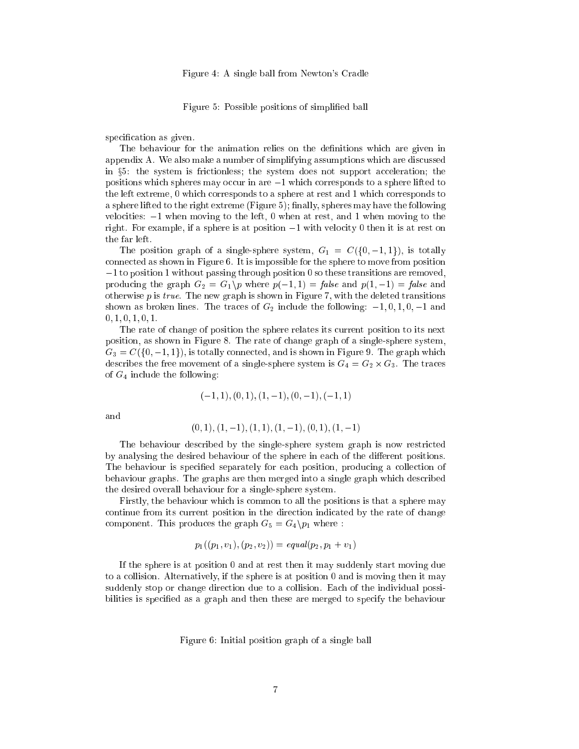Figure 5: Possible positions of simplied ball

specification as given.

The behaviour for the animation relies on the definitions which are given in appendix A. We also make a number of simplifying assumptions which are discussed in  $\S5$ : the system is frictionless; the system does not support acceleration; the positions which spheres may occur in are  $-1$  which corresponds to a sphere lifted to the left extreme, 0 which corresponds to a sphere at rest and 1 which corresponds to a sphere lifted to the right extreme  $(Figure 5)$ ; finally, spheres may have the following velocities:  $-1$  when moving to the left, 0 when at rest, and 1 when moving to the right. For example, if a sphere is at position  $-1$  with velocity 0 then it is at rest on the far left.

The position graph of a single-sphere system,  $G_1 = C({0, -1, 1})$ , is totally connected as shown in Figure 6. It is impossible for the sphere to move from position  $-1$  to position 1 without passing through position 0 so these transitions are removed, producing the graph  $G_2 = G_1 \backslash p$  where  $p(-1, 1) = false$  and  $p(1, -1) = false$  and otherwise  $p$  is  $true$ . The new graph is shown in Figure 7, with the deleted transitions shown as broken lines. The traces of  $G_2$  include the following:  $-1, 0, 1, 0, -1$  and  $0, 1, 0, 1, 0, 1.$ 

The rate of change of position the sphere relates its current position to its next position, as shown in Figure 8. The rate of change graph of a single-sphere system,  $G_3 = C({0, -1, 1})$ , is totally connected, and is shown in Figure 9. The graph which describes the free movement of a single-sphere system is G4 = G2 - G3. The traces of  $G_4$  include the following:

$$
(-1,1), (0,1), (1,-1), (0,-1), (-1,1)
$$

and

$$
(0,1), (1,-1), (1,1), (1,-1), (0,1), (1,-1)
$$

The behaviour described by the single-sphere system graph is now restricted by analysing the desired behaviour of the sphere in each of the different positions. The behaviour is specied separately for each position, producing a collection of behaviour graphs. The graphs are then merged into a single graph which described the desired overall behaviour for a single-sphere system.

Firstly, the behaviour which is common to all the positions is that a sphere may continue from its current position in the direction indicated by the rate of change component. This produces the graph  $G_5 = G_4 \backslash p_1$  where :

$$
p_1((p_1, v_1), (p_2, v_2)) = equal(p_2, p_1 + v_1)
$$

If the sphere is at position 0 and at rest then it may suddenly start moving due to a collision. Alternatively, if the sphere is at position 0 and is moving then it may suddenly stop or change direction due to a collision. Each of the individual possibilities is specied as a graph and then these are merged to specify the behaviour

Figure 6: Initial position graph of a single ball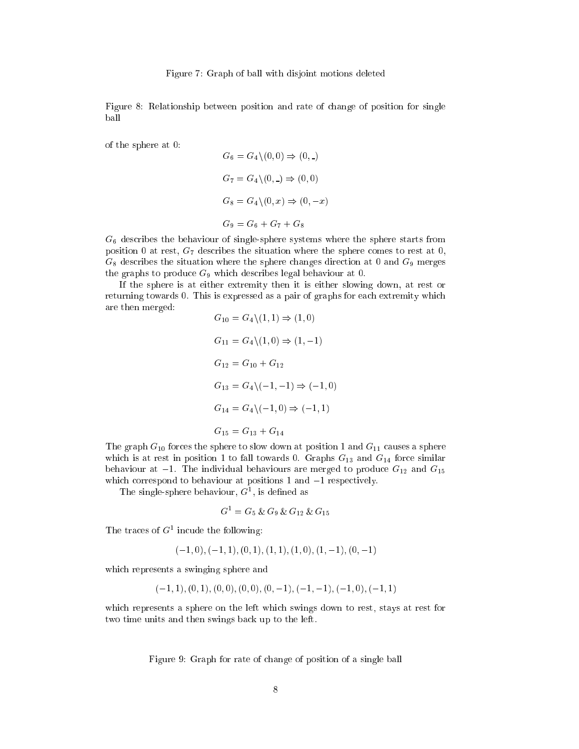Figure 8: Relationship between position and rate of change of position for single ball

of the sphere at 0:

$$
G_6 = G_4 \setminus (0, 0) \Rightarrow (0, \square)
$$
  
\n
$$
G_7 = G_4 \setminus (0, \square) \Rightarrow (0, 0)
$$
  
\n
$$
G_8 = G_4 \setminus (0, x) \Rightarrow (0, -x)
$$
  
\n
$$
G_9 = G_6 + G_7 + G_8
$$

 $G_6$  describes the behaviour of single-sphere systems where the sphere starts from position 0 at rest,  $G_7$  describes the situation where the sphere comes to rest at 0,  $G_8$  describes the situation where the sphere changes direction at 0 and  $G_9$  merges the graphs to produce  $G_9$  which describes legal behaviour at 0.

If the sphere is at either extremity then it is either slowing down, at rest or returning towards 0. This is expressed as a pair of graphs for each extremity which are then merged:  $C \setminus (1, 1) \rightarrow (1, 0)$  $\overline{C}$ 

$$
G_{10} = G_4 \setminus (1, 1) \Rightarrow (1, 0)
$$
  
\n
$$
G_{11} = G_4 \setminus (1, 0) \Rightarrow (1, -1)
$$
  
\n
$$
G_{12} = G_{10} + G_{12}
$$
  
\n
$$
G_{13} = G_4 \setminus (-1, -1) \Rightarrow (-1, 0)
$$
  
\n
$$
G_{14} = G_4 \setminus (-1, 0) \Rightarrow (-1, 1)
$$
  
\n
$$
G_{15} = G_{13} + G_{14}
$$

The graph  $G_{10}$  forces the sphere to slow down at position 1 and  $G_{11}$  causes a sphere which is at rest in position 1 to fall towards 0. Graphs  $G_{13}$  and  $G_{14}$  force similar behaviour at  $-1$ . The individual behaviours are merged to produce  $G_{12}$  and  $G_{15}$ which correspond to behaviour at positions  $1$  and  $-1$  respectively.

I he single-sphere behaviour, G<sup>-</sup>, is defined as

$$
G^1 = G_5 \& G_9 \& G_{12} \& G_{15}
$$

I ne traces of G<sup>-</sup> incude the following:

$$
(-1,0), (-1,1), (0,1), (1,1), (1,0), (1,-1), (0,-1)
$$

which represents a swinging sphere and

$$
(-1, 1), (0, 1), (0, 0), (0, 0), (0, -1), (-1, -1), (-1, 0), (-1, 1)
$$

which represents a sphere on the left which swings down to rest, stays at rest for two time units and then swings back up to the left.

Figure 9: Graph for rate of change of position of a single ball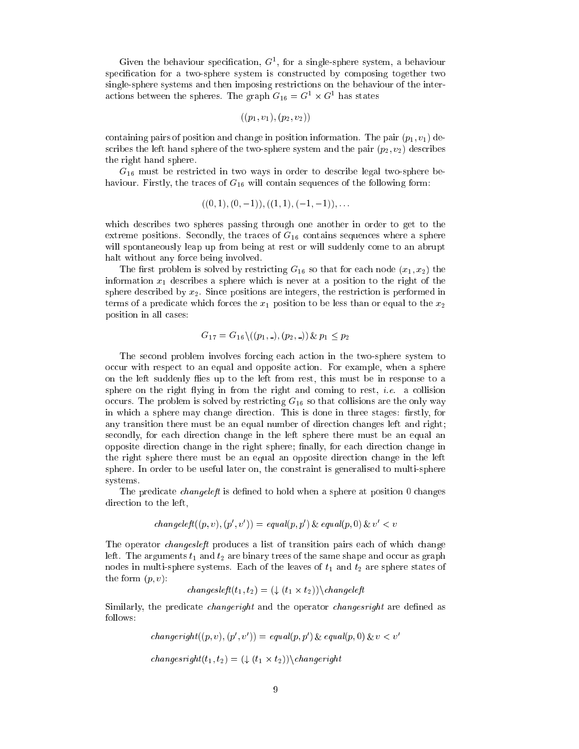Given the behaviour specication, <sup>G</sup><sup>1</sup> , for a single-sphere system, a behaviour specication for a two-sphere system is constructed by composing together two single-sphere systems and then imposing restrictions on the behaviour of the interactions between the spheres. The graph  $G_{16} = G^+ \times G^+$  has states

$$
\left( (p_1,v_1),(p_2,v_2) \right)
$$

containing pairs of position and change in position information. The pair  $(p_1, v_1)$  describes the left hand sphere of the two-sphere system and the pair  $(p_2, v_2)$  describes the right hand sphere.

 $G_{16}$  must be restricted in two ways in order to describe legal two-sphere behaviour. Firstly, the traces of  $G_{16}$  will contain sequences of the following form:

$$
((0,1), (0,-1)), ((1,1), (-1,-1)), \ldots
$$

which describes two spheres passing through one another in order to get to the extreme positions. Secondly, the traces of  $G_{16}$  contains sequences where a sphere will spontaneously leap up from being at rest or will suddenly come to an abrupt halt without any force being involved.

The first problem is solved by restricting  $G_{16}$  so that for each node  $(x_1, x_2)$  the information  $x_1$  describes a sphere which is never at a position to the right of the sphere described by  $x_2$ . Since positions are integers, the restriction is performed in terms of a predicate which forces the  $x_1$  position to be less than or equal to the  $x_2$ position in all cases:

$$
G_{17} = G_{16} \setminus ((p_1, \underline{.}), (p_2, \underline{.})) \& p_1 \leq p_2
$$

The second problem involves forcing each action in the two-sphere system to occur with respect to an equal and opposite action. For example, when a sphere on the left suddenly flies up to the left from rest, this must be in response to a sphere on the right flying in from the right and coming to rest, *i.e.* a collision occurs. The problem is solved by restricting  $G_{16}$  so that collisions are the only way in which a sphere may change direction. This is done in three stages: firstly, for any transition there must be an equal number of direction changes left and right; secondly, for each direction change in the left sphere there must be an equal an opposite direction change in the right sphere; finally, for each direction change in the right sphere there must be an equal an opposite direction change in the left sphere. In order to be useful later on, the constraint is generalised to multi-sphere systems.

The predicate *changeleft* is defined to hold when a sphere at position 0 changes direction to the left,

$$
changeleft((p, v), (p', v')) = equal(p, p') \& equal(p, 0) \& v' < v
$$

The operator *changes left* produces a list of transition pairs each of which change left. The arguments  $t_1$  and  $t_2$  are binary trees of the same shape and occur as graph nodes in multi-sphere systems. Each of the leaves of  $t_1$  and  $t_2$  are sphere states of the form  $(p, v)$ :

$$
changes left (t_1, t_2) = (\downarrow (t_1 \times t_2)) \backslash changeleft
$$

Similarly, the predicate *changeright* and the operator *changesright* are defined as follows:

$$
changeright((p, v), (p', v')) = equal(p, p') \& equal(p, 0) \& v < v'
$$

changes in the case of the changes of the contract of the contract of the contract of the contract of the contr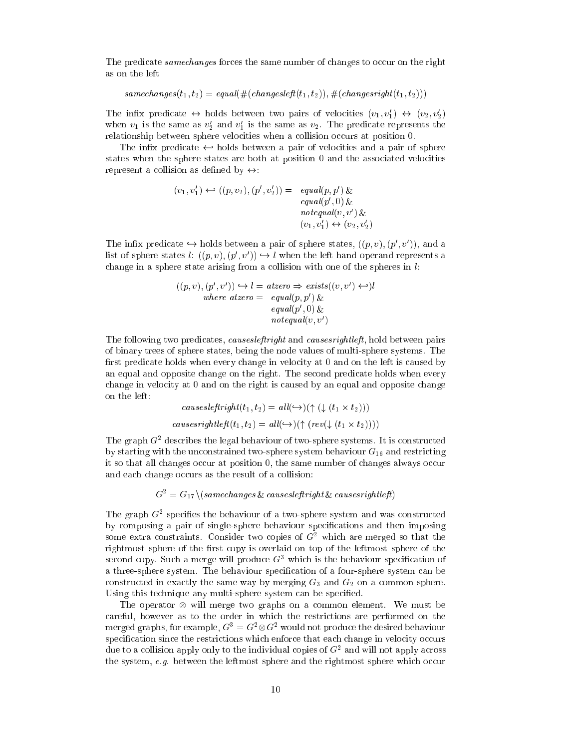The predicate samechanges forces the same number of changes to occur on the right as on the left

 $same changes(t_1, t_2) = equal(\#(changes left(t_1, t_2)), \#(changes right(t_1, t_2)))$ 

The finite predicate  $\leftrightarrow$  holds between two pairs of velocities  $(v_1, v_1) \leftrightarrow (v_2, v_2)$ when  $v_1$  is the same as  $v_2$  and  $v_1$  is the same as  $v_2$ . The predicate represents the relationship between sphere velocities when a collision occurs at position 0.

The infix predicate  $\leftrightarrow$  holds between a pair of velocities and a pair of sphere states when the sphere states are both at position 0 and the associated velocities represent a collision as defined by  $\leftrightarrow$ :

> $(v_1, v_1) \leftarrow (p, v_2), (p, v_2) = \text{equal}(p, p) \&$  $equation(p, 0)$  $\vec{v}$  notequal(v, v') &  $(v_1, v_1) \leftrightarrow (v_2, v_2)$

The innx predicate  $\hookrightarrow$  holds between a pair of sphere states,  $((p, v), (p, v))$ , and a list of sphere states  $\iota: ((p, v), (p, v)) \hookrightarrow \iota$  when the left hand operand represents a change in a sphere state arising from a collision with one of the spheres in  $l$ :

> $((p, v), (p, v)) \hookrightarrow l = \text{alizer } v \Rightarrow \text{exists} ((v, v) \leftarrow \mu)$ where  $u$ tzer $v = \ell q u u(p, p \mid \mathcal{X})$  $equation (p, 0) \&$  $novequal(v, v)$

The following two predicates, *causes left right* and *causes rightleft*, hold between pairs of binary trees of sphere states, being the node values of multi-sphere systems. The first predicate holds when every change in velocity at  $0$  and on the left is caused by an equal and opposite change on the right. The second predicate holds when every change in velocity at 0 and on the right is caused by an equal and opposite change on the left:

$$
causeslefttripth(t_1, t_2) = all(\rightarrow)(\uparrow (\downarrow (t_1 \times t_2)))
$$

$$
causesrightleft(t_1, t_2) = all(\rightarrow)(\uparrow (rev(\downarrow (t_1 \times t_2))))
$$

The graph <sup>G</sup><sup>2</sup> describes the legal behaviour of two-sphere systems. It is constructed by starting with the unconstrained two-sphere system behaviour  $G_{16}$  and restricting it so that all changes occur at position 0, the same number of changes always occur and each change occurs as the result of a collision:

 $G^-=G_{17}\setminus$ (samechanges  $\chi$  causesleftright  $\chi$  causesrightleft)

The graph <sup>G</sup><sup>2</sup> species the behaviour of a two-sphere system and was constructed by composing a pair of single-sphere behaviour specications and then imposing some extra constraints. Consider two copies of <sup>G</sup><sup>2</sup> which are merged so that the rightmost sphere of the first copy is overlaid on top of the leftmost sphere of the second copy. Such a merge will produce  $G<sup>3</sup>$  which is the behaviour specification of a three-sphere system. The behaviour specication of a four-sphere system can be constructed in exactly the same way by merging  $G_3$  and  $G_2$  on a common sphere. Using this technique any multi-sphere system can be specified.

The operator will merge two graphs on a common element. We must be careful, however as to the order in which the restrictions are performed on the merged graphs, for example,  $G^{\perp} = G^{\perp} \otimes G^{\perp}$  would not produce the desired behaviour specification since the restrictions which enforce that each change in velocity occurs due to a collision apply only to the individual copies of <sup>G</sup><sup>2</sup> and will not apply across the system, e.g. between the leftmost sphere and the rightmost sphere which occur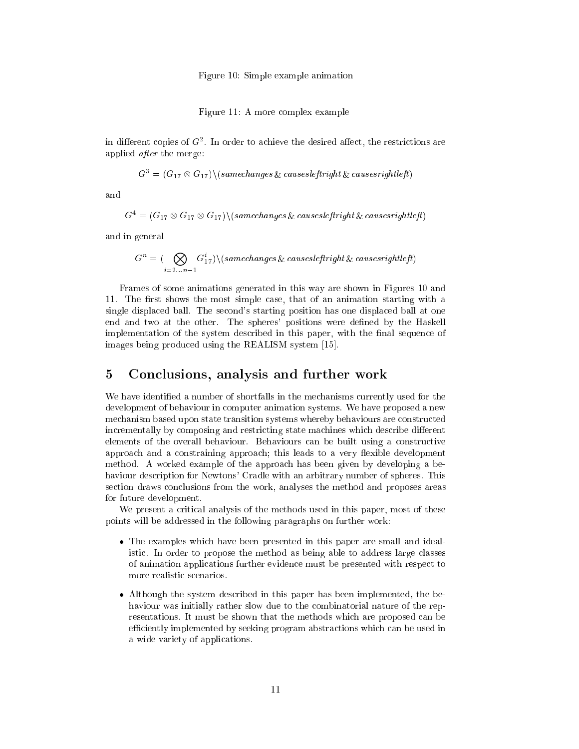Figure 10: Simple example animation

Figure 11: A more complex example

in dierent copies of <sup>G</sup><sup>2</sup> . In order to achieve the desired aect, the restrictions are applied after the merge:

$$
G^3 = (G_{17} \otimes G_{17}) \setminus (same changes \& causes left right \& causes right left)
$$

and

$$
G^4 = (G_{17} \otimes G_{17} \otimes G_{17}) \setminus (same changes \& \ causes left right \& \ causes right left)
$$

and in general

$$
G^{n} = (\bigotimes_{i=2...n-1} G_{17}^{i}) \setminus (same changes \& \text{ causes left right} \& \text{ causes right left})
$$

Frames of some animations generated in this way are shown in Figures 10 and 11. The first shows the most simple case, that of an animation starting with a single displaced ball. The second's starting position has one displaced ball at one end and two at the other. The spheres' positions were dened by the Haskell implementation of the system described in this paper, with the final sequence of images being produced using the REALISM system [15].

### 5 Conclusions, analysis and further work

We have identied a number of shortfalls in the mechanisms currently used for the development of behaviour in computer animation systems. We have proposed a new mechanism based upon state transition systems whereby behaviours are constructed incrementally by composing and restricting state machines which describe different elements of the overall behaviour. Behaviours can be built using a constructive approach and a constraining approach; this leads to a very flexible development method. A worked example of the approach has been given by developing a behaviour description for Newtons' Cradle with an arbitrary number of spheres. This section draws conclusions from the work, analyses the method and proposes areas for future development.

We present a critical analysis of the methods used in this paper, most of these points will be addressed in the following paragraphs on further work:

- The examples which have been presented in this paper are small and idealistic. In order to propose the method as being able to address large classes of animation applications further evidence must be presented with respect to more realistic scenarios.
- Although the system described in this paper has been implemented, the behaviour was initially rather slow due to the combinatorial nature of the representations. It must be shown that the methods which are proposed can be efficiently implemented by seeking program abstractions which can be used in a wide variety of applications.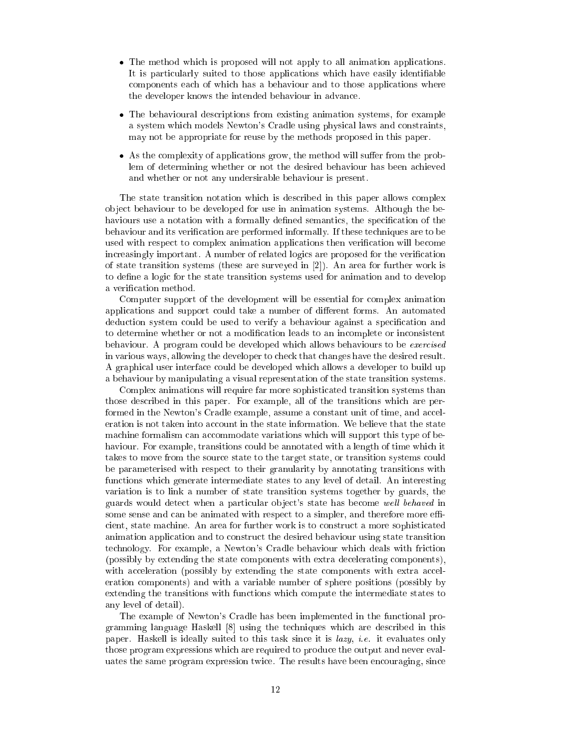- The method which is proposed will not apply to all animation applications. It is particularly suited to those applications which have easily identiable components each of which has a behaviour and to those applications where the developer knows the intended behaviour in advance.
- The behavioural descriptions from existing animation systems, for example a system which models Newton's Cradle using physical laws and constraints, may not be appropriate for reuse by the methods proposed in this paper.
- As the complexity of applications grow, the method will suer from the problem of determining whether or not the desired behaviour has been achieved and whether or not any undersirable behaviour is present.

The state transition notation which is described in this paper allows complex ob ject behaviour to be developed for use in animation systems. Although the behaviours use a notation with a formally defined semantics, the specification of the behaviour and its verication are performed informally. If these techniques are to be used with respect to complex animation applications then verication will become increasingly important. A number of related logics are proposed for the verication of state transition systems (these are surveyed in [2]). An area for further work is to define a logic for the state transition systems used for animation and to develop a verification method.

Computer support of the development will be essential for complex animation applications and support could take a number of different forms. An automated deduction system could be used to verify a behaviour against a specication and to determine whether or not a modication leads to an incomplete or inconsistent behaviour. A program could be developed which allows behaviours to be exercised in various ways, allowing the developer to check that changes have the desired result. A graphical user interface could be developed which allows a developer to build up a behaviour by manipulating a visual representation of the state transition systems.

Complex animations will require far more sophisticated transition systems than those described in this paper. For example, all of the transitions which are performed in the Newton's Cradle example, assume a constant unit of time, and acceleration is not taken into account in the state information. We believe that the state machine formalism can accommodate variations which will support this type of behaviour. For example, transitions could be annotated with a length of time which it takes to move from the source state to the target state, or transition systems could be parameterised with respect to their granularity by annotating transitions with functions which generate intermediate states to any level of detail. An interesting variation is to link a number of state transition systems together by guards, the guards would detect when a particular object's state has become well behaved in some sense and can be animated with respect to a simpler, and therefore more efficient, state machine. An area for further work is to construct a more sophisticated animation application and to construct the desired behaviour using state transition technology. For example, a Newton's Cradle behaviour which deals with friction (possibly by extending the state components with extra decelerating components), with acceleration (possibly by extending the state components with extra acceleration components) and with a variable number of sphere positions (possibly by extending the transitions with functions which compute the intermediate states to any level of detail).

The example of Newton's Cradle has been implemented in the functional programming language Haskell [8] using the techniques which are described in this paper. Haskell is ideally suited to this task since it is *lazy*, *i.e.* it evaluates only those program expressions which are required to produce the output and never evaluates the same program expression twice. The results have been encouraging, since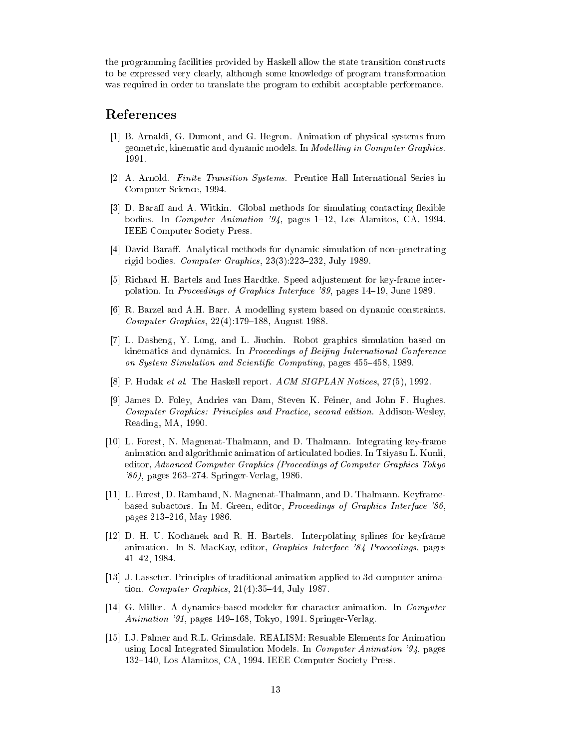the programming facilities provided by Haskell allow the state transition constructs to be expressed very clearly, although some knowledge of program transformation was required in order to translate the program to exhibit acceptable performance.

### References

- [1] B. Arnaldi, G. Dumont, and G. Hegron. Animation of physical systems from geometric, kinematic and dynamic models. In Modelling in Computer Graphics. 1991.
- [2] A. Arnold. Finite Transition Systems. Prentice Hall International Series in Computer Science, 1994.
- [3] D. Baraff and A. Witkin. Global methods for simulating contacting flexible bodies. In *Computer Animation '94*, pages 1-12, Los Alamitos, CA, 1994. IEEE Computer Society Press.
- [4] David Baraff. Analytical methods for dynamic simulation of non-penetrating rigid bodies. Computer Graphics,  $23(3):223-232$ , July 1989.
- [5] Richard H. Bartels and Ines Hardtke. Speed adjustement for key-frame interpolation. In *Proceedings of Graphics Interface '89*, pages 14–19, June 1989.
- [6] R. Barzel and A.H. Barr. A modelling system based on dynamic constraints. Computer Graphics,  $22(4):179-188$ , August 1988.
- [7] L. Dasheng, Y. Long, and L. Jiuchin. Robot graphics simulation based on kinematics and dynamics. In Proceedings of Beijing International Conference on System Simulation and Scientific Computing, pages 455-458, 1989.
- [8] P. Hudak et al. The Haskell report. ACM SIGPLAN Notices, 27(5), 1992.
- [9] James D. Foley, Andries van Dam, Steven K. Feiner, and John F. Hughes. Computer Graphics: Principles and Practice, second edition. Addison-Wesley, Reading, MA, 1990.
- [10] L. Forest, N. Magnenat-Thalmann, and D. Thalmann. Integrating key-frame animation and algorithmic animation of articulated bodies. In Tsiyasu L. Kunii, editor, Advanced Computer Graphics (Proceedings of Computer Graphics Tokyo  $'86$ , pages 263–274. Springer-Verlag, 1986.
- [11] L. Forest, D. Rambaud, N. Magnenat-Thalmann, and D. Thalmann. Keyframebased subactors. In M. Green, editor, Proceedings of Graphics Interface '86, pages 213-216, May 1986.
- [12] D. H. U. Kochanek and R. H. Bartels. Interpolating splines for keyframe animation. In S. MacKay, editor, Graphics Interface '84 Proceedings, pages 41{42, 1984.
- [13] J. Lasseter. Principles of traditional animation applied to 3d computer animation. Computer Graphics,  $21(4):35-44$ , July 1987.
- [14] G. Miller. A dynamics-based modeler for character animation. In Computer Animation '91, pages 149–168, Tokyo, 1991. Springer-Verlag.
- [15] I.J. Palmer and R.L. Grimsdale. REALISM: Resuable Elements for Animation using Local Integrated Simulation Models. In Computer Animation '94, pages 132-140, Los Alamitos, CA, 1994. IEEE Computer Society Press.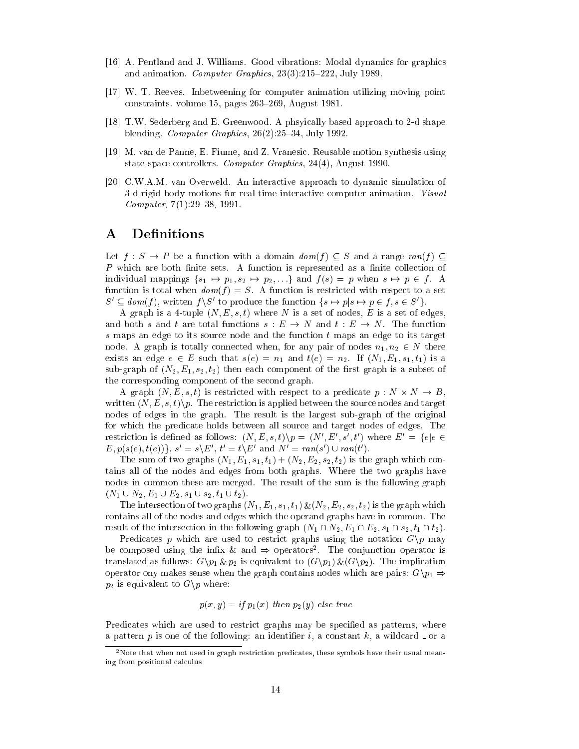- [16] A. Pentland and J. Williams. Good vibrations: Modal dynamics for graphics and animation. Computer Graphics,  $23(3):215{-}222$ , July 1989.
- [17] W. T. Reeves. Inbetweening for computer animation utilizing moving point  $constraints.$  volume 15, pages  $263-269$ , August 1981.
- [18] T.W. Sederberg and E. Greenwood. A phsyically based approach to 2-d shape blending. Computer Graphics,  $26(2):25{-}34$ , July 1992.
- [19] M. van de Panne, E. Fiume, and Z. Vranesic. Reusable motion synthesis using state-space controllers. Computer Graphics, 24(4), August 1990.
- [20] C.W.A.M. van Overweld. An interactive approach to dynamic simulation of 3-d rigid body motions for real-time interactive computer animation. Visual Computer,  $7(1):29-38, 1991$ .

# A Definitions

Let  $f : S \to P$  be a function with a domain  $dom(f) \subset S$  and a range ran(f)  $\subset$ P which are both nite sets. A function is represented as a nite collection of individual mappings  $\{s_1 \mapsto p_1, s_2 \mapsto p_2, ...\}$  and  $f (s) = p$  when  $s \mapsto p \in f$ . A function is total when  $dom(f) = S$ . A function is restricted with respect to a set  $S \subseteq \text{dom}(f)$ , written  $f \setminus S$  to produce the function  $\{s \mapsto p | s \mapsto p \in f, s \in S\}$ .

A graph is a 4-tuple  $(N, E, s, t)$  where N is a set of nodes, E is a set of edges, and both s and t are total functions  $s : E \to N$  and  $t : E \to N$ . The function s maps an edge to its source node and the function <sup>t</sup> maps an edge to its target node. A graph is totally connected when, for any pair of nodes  $n_1, n_2 \in N$  there exists an edge  $e \in E$  such that  $s(e) = n_1$  and  $t(e) = n_2$ . If  $(N_1, E_1, s_1, t_1)$  is a sub-graph of  $(N_2, E_1, s_2, t_2)$  then each component of the first graph is a subset of the corresponding component of the second graph.

... A the stricted with respect to a construction of the predicate property of the stricted with  $\sim$ written  $(N, E, s, t)$ , The restriction is applied between the source nodes and target nodes of edges in the graph. The result is the largest sub-graph of the original for which the predicate holds between all source and target nodes of edges. The restriction is defined as follows:  $(N, E, S, U)$   $p \equiv (N, E, S, U)$  where  $E_0 = 3e/e \in$  $E, p(s(e), t(e))\}$ ,  $s = s \setminus E$ ,  $t = t \setminus E$  and  $N = rank(s) \cup rank(t)$ .

The sum of two graphs  $(N_1, E_1, s_1, t_1) + (N_2, E_2, s_2, t_2)$  is the graph which contains all of the nodes and edges from both graphs. Where the two graphs have nodes in common these are merged. The result of the sum is the following graph  $(N_1 \cup N_2, E_1 \cup E_2, s_1 \cup s_2, t_1 \cup t_2).$ 

The intersection of two graphs  $(N_1, E_1, s_1, t_1) \& (N_2, E_2, s_2, t_2)$  is the graph which contains all of the nodes and edges which the operand graphs have in common. The result of the intersection in the following graph  $(N_1 \cap N_2, E_1 \cap E_2, s_1 \cap s_2, t_1 \cap t_2)$ .

Predicates p which are used to restrict graphs using the notation  $G\$ p may be composed using the inity  $\alpha$  and  $\Rightarrow$  operators. The conjunction operator is translated as follows:  $G\backslash p_1 \& p_2$  is equivalent to  $(G\backslash p_1) \& (G\backslash p_2)$ . The implication operator ony makes sense when the graph contains nodes which are pairs:  $G \backslash p_1 \Rightarrow$  $p_2$  is equivalent to  $G\backslash p$  where:

$$
p(x, y) = if p_1(x) then p_2(y) else true
$$

Predicates which are used to restrict graphs may be specified as patterns, where a pattern p is one of the following: an identifier i, a constant k, a wildcard  $\Box$  or a

<sup>2</sup>Note that when not used in graph restriction predicates, these symbols have their usual meaning from positional calculus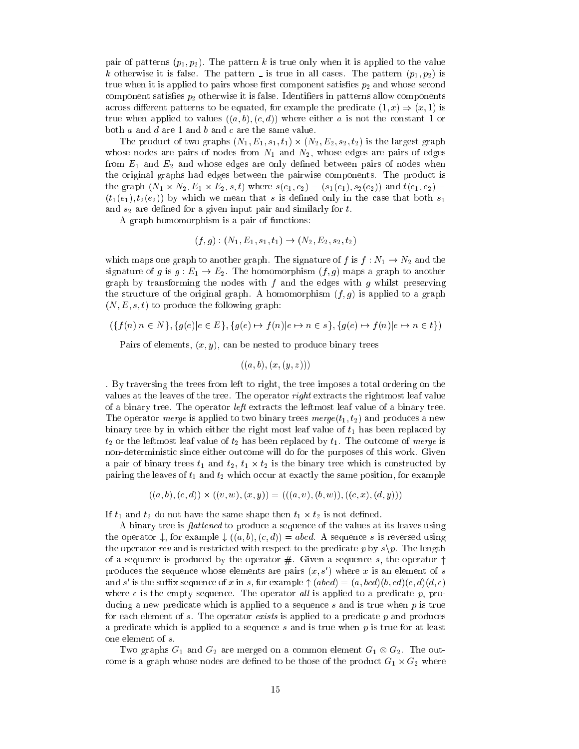pair of patterns  $(p_1, p_2)$ . The pattern k is true only when it is applied to the value k otherwise it is false. The pattern is true in all cases. The pattern  $\mathbb{P}^{n+1,p+1,p+1}$ true when it is applied to pairs whose first component satisfies  $p_2$  and whose second component satisfies  $p_2$  otherwise it is false. Identifiers in patterns allow components across different patterns to be equated, for example the predicate  $(1, x) \Rightarrow (x, 1)$  is true when applied to values  $((a, b), (c, d))$  where either a is not the constant 1 or both  $a$  and  $d$  are 1 and  $b$  and  $c$  are the same value.

The product of two graphs (N1; E1; S1; t1) - (N1; S1; S1; S1; S1; t2) - (N2; Graphs graphs whose nodes are pairs of nodes from  $N_1$  and  $N_2$ , whose edges are pairs of edges from  $E_1$  and  $E_2$  and whose edges are only defined between pairs of nodes when the original graphs had edges between the pairwise components. The product is لاعب (الإسلام الكالية المتوارد عبد المساحية المساحية المستخدمات المستخدمات المستخدمات المستخدمات المستخدمات ال  $(t_1(e_1), t_2(e_2))$  by which we mean that s is defined only in the case that both  $s_1$ and  $s_2$  are defined for a given input pair and similarly for t.

A graph homomorphism is a pair of functions:

$$
(f,g) : (N_1, E_1, s_1, t_1) \to (N_2, E_2, s_2, t_2)
$$

which maps one graph to another graph. The signature of f is  $f : N_1 \to N_2$  and the signature of g is  $g : E_1 \to E_2$ . The homomorphism  $(f, g)$  maps a graph to another graph by transforming the nodes with  $f$  and the edges with  $g$  whilst preserving the structure of the original graph. A homomorphism  $(f, g)$  is applied to a graph  $(N, E, s, t)$  to produce the following graph:

 $(\{f(n)|n \in N\}, \{g(e)|e \in E\}, \{g(e) \mapsto f(n)|e \mapsto n \in s\}, \{g(e) \mapsto f(n)|e \mapsto n \in t\})$ 

Pairs of elements,  $(x, y)$ , can be nested to produce binary trees

 $((a, b), (x, (y, z)))$ 

. By traversing the trees from left to right, the tree imposes a total ordering on the values at the leaves of the tree. The operator right extracts the rightmost leaf value of a binary tree. The operator left extracts the leftmost leaf value of a binary tree. The operator *merge* is applied to two binary trees  $merge(t_1, t_2)$  and produces a new binary tree by in which either the right most leaf value of  $t_1$  has been replaced by  $t_2$  or the leftmost leaf value of  $t_2$  has been replaced by  $t_1$ . The outcome of merge is non-deterministic since either outcome will do for the purposes of this work. Given a pair of binary trees t1 and t2, t1 t1  $\alpha$  is the binary tree which is constructed by pairing the leaves of  $t_1$  and  $t_2$  which occur at exactly the same position, for example

$$
((a, b), (c, d)) \times ((v, w), (x, y)) = (((a, v), (b, w)), ((c, x), (d, y)))
$$

If the same that the same shape the shape then the same  $\tau_1$  is  $\tau_2$  and the shape the

A binary tree is  $flattened$  to produce a sequence of the values at its leaves using the operator  $\downarrow$ , for example  $\downarrow ((a, b), (c, d)) = abcd$ . A sequence s is reversed using the operator rev and is restricted with respect to the predicate p by  $s\$ p. The length of a sequence is produced by the operator  $#$ . Given a sequence s, the operator  $\uparrow$ produces the sequence whose elements are pairs  $(x, s)$  where x is an element of s and s is the sum x sequence of x in s, for example  $+$  (abcd)  $=$  (a, bcd)(b, ca)(c, a)(a,  $\epsilon$ ) where  $\epsilon$  is the empty sequence. The operator all is applied to a predicate p, producing a new predicate which is applied to a sequence s and is true when  $p$  is true for each element of s. The operator exists is applied to a predicate  $p$  and produces a predicate which is applied to a sequence <sup>s</sup> and is true when <sup>p</sup> is true for at least one element of s.

Two graphs G1 and G2 are merged on <sup>a</sup> common element G1 G2. The outcome is a graph whose nodes are declined to be those of the product G1  $\sim$  G2 where